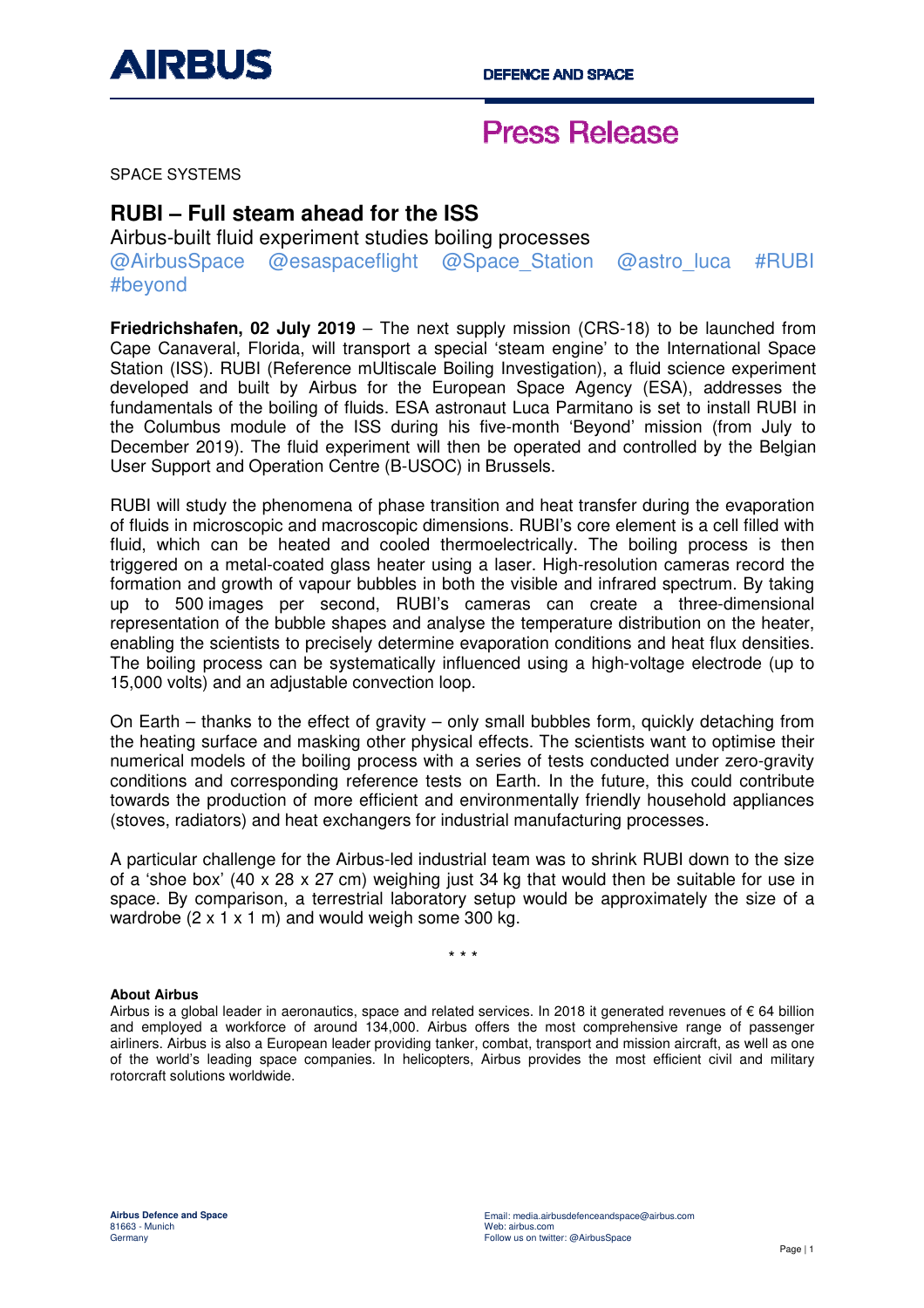

## **Press Release**

SPACE SYSTEMS

### **RUBI – Full steam ahead for the ISS**

Airbus-built fluid experiment studies boiling processes @AirbusSpace @esaspaceflight @Space\_Station @astro\_luca #RUBI #beyond

**Friedrichshafen, 02 July 2019** – The next supply mission (CRS-18) to be launched from Cape Canaveral, Florida, will transport a special 'steam engine' to the International Space Station (ISS). RUBI (Reference mUltiscale Boiling Investigation), a fluid science experiment developed and built by Airbus for the European Space Agency (ESA), addresses the fundamentals of the boiling of fluids. ESA astronaut Luca Parmitano is set to install RUBI in the Columbus module of the ISS during his five-month 'Beyond' mission (from July to December 2019). The fluid experiment will then be operated and controlled by the Belgian User Support and Operation Centre (B-USOC) in Brussels.

RUBI will study the phenomena of phase transition and heat transfer during the evaporation of fluids in microscopic and macroscopic dimensions. RUBI's core element is a cell filled with fluid, which can be heated and cooled thermoelectrically. The boiling process is then triggered on a metal-coated glass heater using a laser. High-resolution cameras record the formation and growth of vapour bubbles in both the visible and infrared spectrum. By taking up to 500 images per second, RUBI's cameras can create a three-dimensional representation of the bubble shapes and analyse the temperature distribution on the heater, enabling the scientists to precisely determine evaporation conditions and heat flux densities. The boiling process can be systematically influenced using a high-voltage electrode (up to 15,000 volts) and an adjustable convection loop.

On Earth – thanks to the effect of gravity – only small bubbles form, quickly detaching from the heating surface and masking other physical effects. The scientists want to optimise their numerical models of the boiling process with a series of tests conducted under zero-gravity conditions and corresponding reference tests on Earth. In the future, this could contribute towards the production of more efficient and environmentally friendly household appliances (stoves, radiators) and heat exchangers for industrial manufacturing processes.

A particular challenge for the Airbus-led industrial team was to shrink RUBI down to the size of a 'shoe box' (40 x 28 x 27 cm) weighing just 34 kg that would then be suitable for use in space. By comparison, a terrestrial laboratory setup would be approximately the size of a wardrobe  $(2 \times 1 \times 1 \text{ m})$  and would weigh some 300 kg.

\* \* \*

### **About Airbus**

Airbus is a global leader in aeronautics, space and related services. In 2018 it generated revenues of € 64 billion and employed a workforce of around 134,000. Airbus offers the most comprehensive range of passenger airliners. Airbus is also a European leader providing tanker, combat, transport and mission aircraft, as well as one of the world's leading space companies. In helicopters, Airbus provides the most efficient civil and military rotorcraft solutions worldwide.